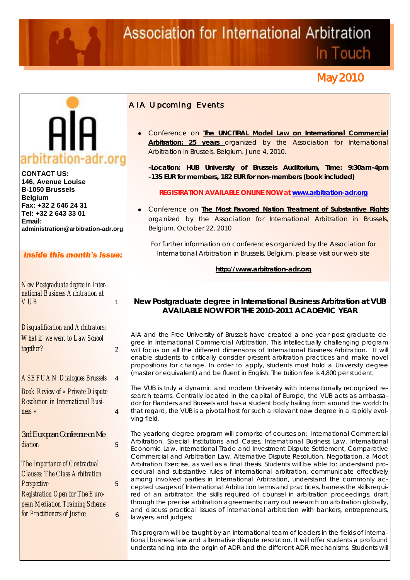# **Association for International Arbitration**

In Touch

# May 2010



**CONTACT US: 146, Avenue Louise B-1050 Brussels Belgium Fax: +32 2 646 24 31 Tel: +32 2 643 33 01 Email: administration@arbitration-adr.org**

# *Inside this month's issue:*

| New Postgraduate degree in Inter- |  |
|-----------------------------------|--|
| national Business Arbitration at  |  |
| <i>VUB</i>                        |  |
|                                   |  |

*Disqualification and Arbitrators: What if we went to Law School together?* 2

*ASEFUAN Dialogues Brussels* 4

*Book Review of « Private Dispute Resolution in International Business »* 4

*3rd European Conference on Mediation* 5

*The Importance of Contractual Clauses: The Class Arbitration Perspective* 5 *Registration Open for The European Mediation Training Scheme for Practitioners of Justice*

6

# *AIA Upcoming Events*

Conference on **The UNCITRAL Model Law on International Commercial Arbitration: 25 years** organized by the Association for International Arbitration in Brussels, Belgium. June 4, 2010.

**-Location: HUB University of Brussels Auditorium, Time: 9:30am-4pm -135 EUR for members, 182 EUR for non-members (book included)**

**REGISTRATION AVAILABLE ONLINE NOW at www.arbitration-adr.org**

Conference on **The Most Favored Nation Treatment of Substantive Rights** organized by the Association for International Arbitration in Brussels, Belgium. October 22, 2010

For further information on conferences organized by the Association for International Arbitration in Brussels, Belgium, please visit our web site

**http://www.arbitration-adr.org**

## **New Postgraduate degree in International Business Arbitration at VUB AVAILABLE NOW FOR THE 2010-2011 ACADEMIC YEAR**

AIA and the Free University of Brussels have created a one-year post graduate degree in International Commercial Arbitration. This intellectually challenging program will focus on all the different dimensions of International Business Arbitration. It will enable students to critically consider present arbitration practices and make novel propositions for change. In order to apply, students must hold a University degree (master or equivalent) and be fluent in English. The tuition fee is 4,800 per student.

The VUB is truly a dynamic and modern University with internationally recognized research teams. Centrally located in the capital of Europe, the VUB acts as ambassador for Flanders and Brussels and has a student body hailing from around the world: In that regard, the VUB is a pivotal host for such a relevant new degree in a rapidly evolving field.

The yearlong degree program will comprise of courses on: International Commercial Arbitration, Special Institutions and Cases, International Business Law, International Economic Law, International Trade and Investment Dispute Settlement, Comparative Commercial and Arbitration Law, Alternative Dispute Resolution, Negotiation, a Moot Arbitration Exercise, as well as a final thesis. Students will be able to: understand procedural and substantive rules of international arbitration, communicate effectively among involved parties in International Arbitration, understand the commonly accepted usages of International Arbitration terms and practices, harness the skills required of an arbitrator, the skills required of counsel in arbitration proceedings, draft through the precise arbitration agreements; carry out research on arbitration globally, and discuss practical issues of international arbitration with bankers, entrepreneurs, lawyers, and judges;

This program will be taught by an international team of leaders in the fields of international business law and alternative dispute resolution. It will offer students a profound understanding into the origin of ADR and the different ADR mechanisms. Students will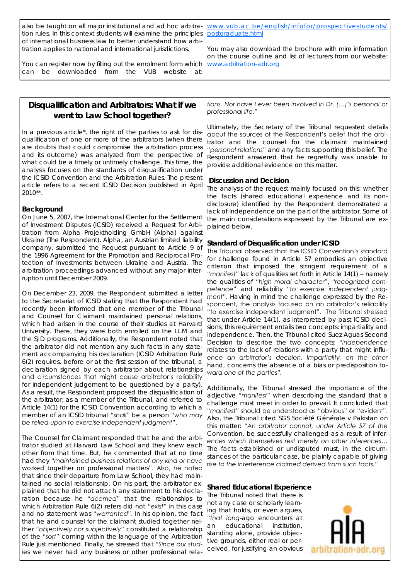also be taught on all major institutional and ad hoc arbitra- [www.vub.ac.be/english/infofor/prospectivestudents/](http://www.vub.ac.be/english/infofor/prospectivestudents/postgraduate.html) tion rules. In this context students will examine the principles [postgraduate.html](http://www.vub.ac.be/english/infofor/prospectivestudents/postgraduate.html) of international business law to better understand how arbitration applies to national and international jurisdictions.

You can register now by filling out the enrolment form which can be downloaded from the VUB website at:

You may also download the brochure with mire information on the course outline and list of lecturers from our website: [www.arbitration-adr.org](http://www.arbitration-adr.org)

# **Disqualification and Arbitrators: What if we went to Law School together?**

In a previous article\*, the right of the parties to ask for disqualification of one or more of the arbitrators (when there are doubts that could compromise the arbitration process and its outcome) was analyzed from the perspective of what could be a timely or untimely challenge. This time, the analysis focuses on the standards of disqualification under the ICSID Convention and the Arbitration Rules. The present article refers to a recent ICSID Decision published in April 2010\*\*.

#### **Background**

On June 5, 2007, the International Center for the Settlement of Investment Disputes (ICSID) received a Request for Arbitration from Alpha Projektholding GmbH (Alpha) against Ukraine (The Respondent). Alpha, an Austrian limited liability company, submitted the Request pursuant to Article 9 of the 1996 Agreement for the Promotion and Reciprocal Protection of Investments between Ukraine and Austria. The arbitration proceedings advanced without any major interruption until December 2009.

On December 23, 2009, the Respondent submitted a letter to the Secretariat of ICSID stating that the Respondent had recently been informed that one member of the Tribunal and Counsel for Claimant maintained personal relations, which had arisen in the course of their studies at Harvard University. There, they were both enrolled on the LL.M and the SJD programs. Additionally, the Respondent noted that the arbitrator did not mention any such facts in any statement accompanying his declaration (ICSID Arbitration Rule 6(2) requires, before or at the first session of the tribunal, a declaration signed by each arbitrator about relationships and circumstances that might cause arbitrator's reliability for independent judgement to be questioned by a party). As a result, the Respondent proposed the disqualification of the arbitrator, as a member of the Tribunal, and referred to Article 14(1) for the ICSID Convention according to which a member of an ICSID tribunal *"shall"* be a person *"who may be relied upon to exercise independent judgment"*.

The Counsel for Claimant responded that he and the arbitrator studied at Harvard Law School and they knew each other from that time. But, he commented that at no time had they *"maintained business relations of any kind or have worked together on professional matters*". Also, he noted that since their departure from Law School, they had maintained no social relationship. On his part, the arbitrator explained that he did not attach any statement to his declaration because he *"deemed"* that the relationships to which Arbitration Rule 6(2) refers did not *"exist"* in this case and no statement was *"warranted"*. In his opinion, the fact that he and counsel for the claimant studied together neither *"objectively nor subjectively"* constituted a relationship of the *"sort"* coming within the language of the Arbitration Rule just mentioned. Finally, he stressed that *"Since our studies we never had any business or other professional rela-*

*tions. Nor have I ever been involved in Dr. (…)'s personal or professional life."*

Ultimately, the Secretary of the Tribunal requested details about the sources of the Respondent's belief that the arbitrator and the counsel for the claimant *maintained "personal relations"* and any facts supporting this belief. The Respondent answered that he regretfully was unable to provide additional evidence on this matter.

#### **Discussion and Decision**

The analysis of the request mainly focused on this: whether the facts (shared educational experience and its nondisclosure) identified by the Respondent demonstrated a lack of independence on the part of the arbitrator. Some of the main considerations expressed by the Tribunal are explained below.

### **Standard of Disqualification under ICSID**

The Tribunal observed that the ICSID Convention's standard for challenge found in Article 57 embodies an objective criterion that imposed the stringent requirement of a *"manifest"* lack of qualities set forth in Article 14(1) – namely the qualities of *"high moral character"*, *"recognized competence"* and reliability *"to exercise independent judgment"*. Having in mind the challenge expressed by the Respondent, the analysis focused on an arbitrator's reliability "to exercise independent judgment". The Tribunal stressed that under Article 14(1), as interpreted by past ICSID decisions, this requirement entails two concepts: impartiality and independence. Then, the Tribunal cited *Suez Aguas Second Decision* to describe the two concepts: *"independence relates to the lack of relations with a party that might influence an arbitrator's decision. Impartiality, on the other hand, concerns the absence of a bias or predisposition toward one of the parties".*

Additionally, the Tribunal stressed the importance of the adjective *"manifest"* when describing the standard that a challenge must meet in order to prevail. It concluded that "*manifest"* should be understood as "obvious" or "evident". Also, the Tribunal cited *SGS Société Générale v Pakistan* on this matter: *"An arbitrator cannot, under Article 57 of the Convention, be successfully challenged as a result of inferences which themselves rest merely on other inferences… The facts established or undisputed must, in the circumstances of the particular case, be plainly capable of giving rise to the interference claimed derived from such facts."*

**Shared Educational Experience** The Tribunal noted that there is not any case or scholarly learning that holds, or even argues, *"that long-ago encounters at an educational institution, standing alone, provide objective grounds, either real or per-*

*ceived, for justifying an obvious* 

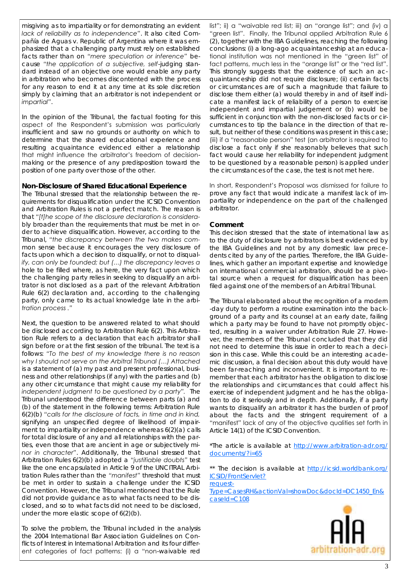*misgiving as to impartiality or for demonstrating an evident lack of reliability as to independence"*. It also cited *Compañía de Aguas v. Republic of Argentina* where it was emphasized that a challenging party must rely on established facts rather than on *"mere speculation or inference"* because *"the application of a subjective, self-judging standard instead of an objective one would enable any party in arbitration who becomes discontented with the process for any reason to end it at any time at its sole discretion simply by claiming that an arbitrator is not independent or impartial"*.

In the opinion of the Tribunal, the factual footing for this aspect of the Respondent's submission was particularly insufficient and saw no grounds or authority on which to determine that the shared educational experience and resulting acquaintance evidenced either a relationship that might influence the arbitrator's freedom of decisionmaking or the presence of any predisposition toward the position of one party over those of the other.

#### **Non-Disclosure of Shared Educational Experience**

The Tribunal stressed that the relationship between the requirements for disqualification under the ICSID Convention and Arbitration Rules is not a perfect match. The reason is that *"[t]he scope of the disclosure declaration is considerably broader than the requirements that must be met in order to achieve disqualification.* However, according to the Tribunal, *"the discrepancy between the two makes common sense because it encourages the very disclosure of facts upon which a decision to disqualify, or not to disqualify, can only be founded; but (…) the discrepancy leaves a hole to be filled where, as here, the very fact upon which the challenging party relies in seeking to disqualify an arbitrator is not disclosed as a part of the relevant Arbitration Rule 6(2) declaration and, according to the challenging party, only came to its actual knowledge late in the arbitration process ."*

Next, the question to be answered related to what should be disclosed according to Arbitration Rule 6(2). This Arbitration Rule refers to a declaration that each arbitrator shall sign before or at the first session of the tribunal. The text is a follows: *"To the best of my knowledge there is no reason why I should not serve on the Arbitral Tribunal (…) Attached is a statement of (a) my past and present professional, business and other relationships (if any) with the parties and (b) any other circumstance that might cause my reliability for independent judgment to be questioned by a party".* The Tribunal understood the difference between parts (a) and (b) of the statement in the following terms: Arbitration Rule 6(2)(b) *"calls for the disclosure of facts, in time and in kind, signifying an unspecified degree of likelihood of impairment to impartiality or independence whereas 6(2)(a) calls for total disclosure of any and all relationships with the parties, even those that are ancient in age or subjectively minor in character"*. Additionally, the Tribunal stressed that Arbitration Rules 6(2)(b) adopted a *"justifiable doubts"* test like the one encapsulated in Article 9 of the UNCITRAL Arbitration Rules rather than the *"manifest"* threshold that must be met in order to sustain a challenge under the ICSID Convention. However, the Tribunal mentioned that the Rule did not provide guidance as to *what facts need to be disclosed*, and so to *what facts did not need to be disclosed*, under the more elastic scope of 6(2)(b).

To solve the problem, the Tribunal included in the analysis the 2004 International Bar Association Guidelines on Conflicts of Interest in International Arbitration and its four different categories of fact patterns: (i) a "non-waivable red list"; ii) a "waivable red list; iii) an "orange list"; and (iv) a "green list". Finally, the Tribunal applied Arbitration Rule 6 (2), together with the IBA Guidelines, reaching the following conclusions: (i) a long-ago acquaintanceship at an educational institution was not mentioned in the "green list" of fact patterns, much less in the "orange list" or the "red list". This strongly suggests that the existence of such an acquaintanceship did not require disclosure; (ii) certain facts or circumstances are of such a magnitude that failure to disclose them either (a) would thereby in and of itself indicate a manifest lack of reliability of a person to exercise independent and impartial judgement or (b) would be sufficient in conjunction with the non-disclosed facts or circumstances to tip the balance in the direction of that result, but neither of these conditions was present in this case; (iii) if a "reasonable person" test (an arbitrator is required to disclose a fact only if she reasonably believes that such fact would cause her reliability for independent judgment to be questioned by a reasonable person) is applied under the circumstances of the case, the test is not met here.

In short, Respondent's Proposal was dismissed for failure to prove any fact that would indicate a manifest lack of impartiality or independence on the part of the challenged arbitrator.

#### **Comment**

This decision stressed that the state of international law as to the duty of disclosure by arbitrators is best evidenced by the IBA Guidelines and not by any domestic law precedents cited by any of the parties. Therefore, the IBA Guidelines, which gather an important expertise and knowledge on international commercial arbitration, should be a pivotal source when a request for disqualification has been filed against one of the members of an Arbitral Tribunal.

The Tribunal elaborated about the recognition of a modern -day duty to perform a routine examination into the background of a party and its counsel at an early date, failing which a party may be found to have not promptly objected, resulting in a waiver under Arbitration Rule 27. However, the members of the Tribunal concluded that they did not need to determine this issue in order to reach a decision in this case. While this could be an interesting academic discussion, a final decision about this duty would have been far-reaching and inconvenient. It is important to remember that each arbitrator has the obligation to disclose the relationships and circumstances that could affect his exercise of independent judgment and he has the obligation to do it seriously and in depth. Additionally, if a party wants to disqualify an arbitrator it has the burden of proof about the facts and the stringent requirement of a "manifest" lack of any of the objective qualities set forth in Article 14(1) of the ICSID Convention.

\*The article is available at [http://www.arbitration-adr.org/](http://www.arbitration-adr.org/documents/?i=65) [documents/?i=65](http://www.arbitration-adr.org/documents/?i=65)

\*\* The decision is available at [http://icsid.worldbank.org/](http://icsid.worldbank.org/ICSID/FrontServlet?requestType=CasesRH&actionVal=showDoc&docId=DC1450_En&caseId=C108) [ICSID/FrontServlet?](http://icsid.worldbank.org/ICSID/FrontServlet?requestType=CasesRH&actionVal=showDoc&docId=DC1450_En&caseId=C108)

[request-](http://icsid.worldbank.org/ICSID/FrontServlet?requestType=CasesRH&actionVal=showDoc&docId=DC1450_En&caseId=C108)[Type=CasesRH&actionVal=showDoc&docId=DC1450\\_En&](http://icsid.worldbank.org/ICSID/FrontServlet?requestType=CasesRH&actionVal=showDoc&docId=DC1450_En&caseId=C108) [caseId=C108](http://icsid.worldbank.org/ICSID/FrontServlet?requestType=CasesRH&actionVal=showDoc&docId=DC1450_En&caseId=C108)

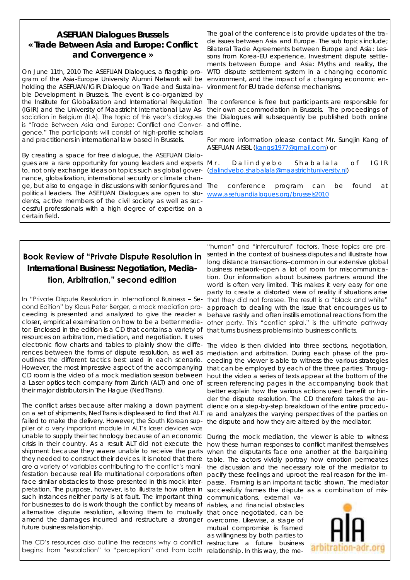# **ASEFUAN Dialogues Brussels « Trade Between Asia and Europe: Conflict and Convergence »**

gram of the Asia-Europe University Alumni Network will be environment, and the impact of a changing economic enholding the ASEFUAN/IGIR Dialogue on Trade and Sustaina-vironment for EU trade defense mechanisms. ble Development in Brussels. The event is co-organized by is "Trade Between Asia and Europe: Conflict and Conver-and offline. gence." The participants will consist of high-profile scholars and practitioners in international law based in Brussels.

By creating a space for free dialogue, the ASEFUAN Dialogues are a rare opportunity for young leaders and experts Mr. to, not only exchange ideas on topics such as global governance, globalization, international security or climate change, but also to engage in discussions with senior figures and political leaders. The ASEFUAN Dialogues are open to stu- [www.asefuandialogues.org/brussels2010](http://www.asefuandialogues.org/brussels2010) dents, active members of the civil society as well as successful professionals with a high degree of expertise on a certain field.

On June 11th, 2010 The ASEFUAN Dialogues, a flagship pro-WTO dispute settlement system in a changing economic The goal of the conference is to provide updates of the trade issues between Asia and Europe. The sub topics include; Bilateral Trade Agreements between Europe and Asia: Lessons from Korea-EU experience, Investment dispute settlements between Europe and Asia: Myths and reality, the

the Institute for Globalization and International Regulation The conference is free but participants are responsible for (IGIR) and the University of Maastricht International Law As-their own accommodation in Brussels. The proceedings of sociation in Belgium (ILA). The topic of this year's dialogues the Dialogues will subsequently be published both online

> For more information please contact Mr. Sungjin Kang of ASEFUAN AISBL [\(kangsj1977@gmail.com\)](mailto:kangsj1977@gmail.com) or

> Dalindyebo Shabalala of IGIR [\(dalindyebo.shabalala@maastrichtuniversity.nl\)](mailto:dalindyebo.shabalala@maastrichtuniversity.nl)

conference program can be found at

# **Book Review of "Private Dispute Resolution in International Business: Negotiation, Media-**

# **tion, Arbitration," second edition**

In "Private Dispute Resolution in International Business – Second Edition" by Klaus Peter Berger, a mock mediation proceeding is presented and analyzed to give the reader a closer, empirical examination on how to be a better mediator. Enclosed in the edition is a CD that contains a variety of that turns business problems into business conflicts. resources on arbitration, mediation, and negotiation. It uses electronic flow charts and tables to plainly show the diffe-The video is then divided into three sections, negotiation, rences between the forms of dispute resolution, as well as mediation and arbitration. During each phase of the prooutlines the different tactics best used in each scenario. However, the most impressive aspect of the accompanying that can be employed by each of the three parties. Throug-CD room is the video of a mock mediation session between hout the video a series of texts appear at the bottom of the a Laser optics tech company from Zurich (ALT) and one of screen referencing pages in the accompanying book that their major distributors in The Hague (NedTrans).

The conflict arises because after making a down payment on a set of shipments, NedTrans is displeased to find that ALT failed to make the delivery. However, the South Korean sup- the dispute and how they are altered by the mediator. plier of a very important module in ALT's laser devices was unable to supply their technology because of an economic crisis in their country. As a result ALT did not execute the shipment because they waere unable to receive the parts they needed to construct their devices. It is noted that there are a variety of variables contributing to the conflict's manifestation because real life multinational corporations often pacify these feelings and uproot the real reason for the imface similar obstacles to those presented in this mock interpretation. The purpose, however, is to illustrate how often in successfully frames the dispute as a combination of missuch instances neither party is at fault. The important thing communications, external vafor businesses to do is work though the conflict by means of riables, and financial obstacles alternative dispute resolution, allowing them to mutually that once negotiated, can be amend the damages incurred and restructure a stronger overcome. Likewise, a stage of future business relationship.

The CD's resources also outline the reasons why a conflict restructure a future business begins: from "escalation" to "perception" and from both relationship. In this way, the me-

"human" and "intercultural" factors. These topics are presented in the context of business disputes and illustrate how long distance transactions--common in our extensive global business network--open a lot of room for miscommunication. Our information about business partners around the world is often very limited. This makes it very easy for one party to create a distorted view of reality if situations arise that they did not foresee. The result is a "black and white" approach to dealing with the issue that encourages us to behave rashly and often instills emotional reactions from the other party. This "conflict spiral," is the ultimate pathway

ceeding the viewer is able to witness the various strategies better explain how the various actions used benefit or hinder the dispute resolution. The CD therefore takes the audience on a step-by-step breakdown of the entire procedure and analyzes the varying perspectives of the parties on

During the mock mediation, the viewer is able to witness how these human responses to conflict manifest themselves when the disputants face one another at the bargaining table. The actors vividly portray how emotion permeates the discussion and the necessary role of the mediator to passe. Framing is an important tactic shown. The mediator

mutual compromise is framed as willingness by both parties to

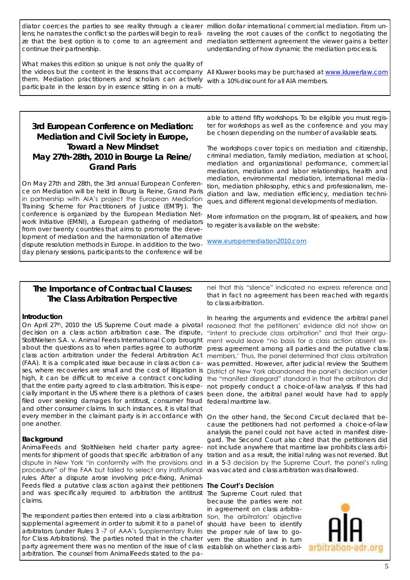diator coerces the parties to see reality through a clearer million dollar international commercial mediation. From uncontinue their partnership.

What makes this edition so unique is not only the quality of the videos but the content in the lessons that accompany All Kluwer books may be purchased at www.kluwerlaw.com them. Mediation practitioners and scholars can actively with a 10% discount for all AIA members. participate in the lesson by in essence sitting in on a multi-

**3rd European Conference on Mediation: Mediation and Civil Society in Europe, Toward a New Mindset May 27th-28th, 2010 in Bourge La Reine/ Grand Paris**

On May 27th and 28th, the 3rd annual European Conference on Mediation will be held in Bourg la Reine, Grand Paris in partnership with AIA's project the European Mediation Training Scheme for Practitioners of Justice (EMTPJ). The conference is organized by the European Mediation Network Initiative (EMNI), a European gathering of mediators from over twenty countries that aims to promote the development of mediation and the harmonization of alternative dispute resolution methods in Europe. In addition to the twoday plenary sessions, participants to the conference will be

lens; he narrates the conflict so the parties will begin to reali- raveling the root causes of the conflict to negotiating the ze that the best option is to come to an agreement and mediation settlement agreement the viewer gains a better understanding of how dynamic the mediation process is.

able to attend fifty workshops. To be eligible you must register for workshops as well as the conference and you may be chosen depending on the number of available seats.

The workshops cover topics on mediation and citizenship, criminal mediation, family mediation, mediation at school, mediation and organizational performance, commercial mediation, mediation and labor relationships, health and mediation, environmental mediation, international mediation, mediation philosophy, ethics and professionalism, mediation and law, mediation efficiency, mediation techniques, and different regional developments of mediation.

More information on the program, list of speakers, and how to register is available on the website:

[www.europemediation2010.com](http://www.europemediation2010.com)

## **The Importance of Contractual Clauses: The Class Arbitration Perspective**

#### **Introduction**

On April 27th, 2010 the US Supreme Court made a pivotal decision on a class action arbitration case. The dispute, *StoltNielsen S.A. v. Animal Feeds International Corp* brought about the questions as to when parties agree to authorize class action arbitration under the Federal Arbitration Act (FAA). It is a complicated issue because in class action cases, where recoveries are small and the cost of litigation is that the entire party agreed to class arbitration. This is espefiled over seeking damages for antitrust, consumer fraud federal maritime law. and other consumer claims. In such instances, it is vital that every member in the claimant party is in accordance with On the other hand, the Second Circuit declared that beone another.

#### **Background**

AnimalFeeds and StoltNielsen held charter party agreements for shipment of goods that specific arbitration of any tration and as a result, the initial ruling was not reversed. But dispute in New York "in conformity with the provisions and in a 5-3 decision by the Supreme Court, the panel's ruling procedure" of the FAA but failed to select any institutional was vacated and class arbitration was disallowed. rules. After a dispute arose involving price-fixing, Animal-Feeds filed a putative class action against their petitioners **The Court's Decision** and was specifically required to arbitration the antitrust The Supreme Court ruled that claims.

The respondent parties then entered into a class arbitration supplemental agreement in order to submit it to a panel of should have been to identify arbitrators (under Rules 3 -7 of AAA's Supplementary Rules the proper rule of law to gofor Class Arbitrations). The parties noted that in the charter vern the situation and in turn party agreement there was no mention of the issue of class establish on whether class arbiarbitration. The counsel from AnimalFeeds stated to the pa-

nel that this "silence" indicated no express reference and that in fact no agreement has been reached with regards to class arbitration.

high, it can be difficult to receive a contract concluding the "manifest disregard" standard in that the arbitrators did cially important in the US where there is a plethora of cases been done, the arbitral panel would have had to apply In hearing the arguments and evidence the arbitral panel reasoned that the petitioners' evidence did not show an "intent to preclude class arbitration" and that their argument would leave "no basis for a class action absent express agreement among all parties and the putative class members.' Thus, the panel determined that class arbitration was permitted. However, after judicial review the Southern District of New York abandoned the panel's decision under not properly conduct a choice-of-law analysis. If this had

> cause the petitioners had not performed a choice-of-law analysis the panel could not have acted in manifest disregard. The Second Court also cited that the petitioners did not include anywhere that maritime law prohibits class arbi-

because the parties were not in agreement on class arbitration, the arbitrators' objective